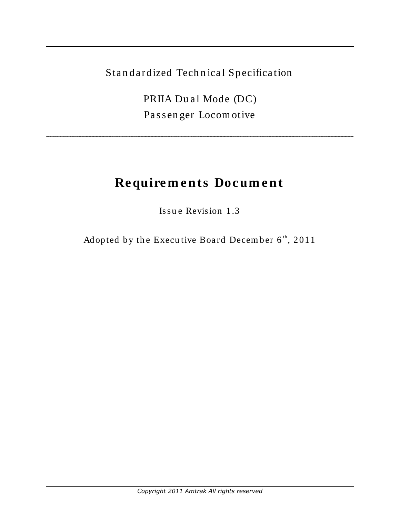Standardized Technical Specification

PRIIA Dual Mode (DC) Passenger Locomotive

# Requirements Document

Issue Revision 1.3

Adopted by the Executive Board December 6th, 2011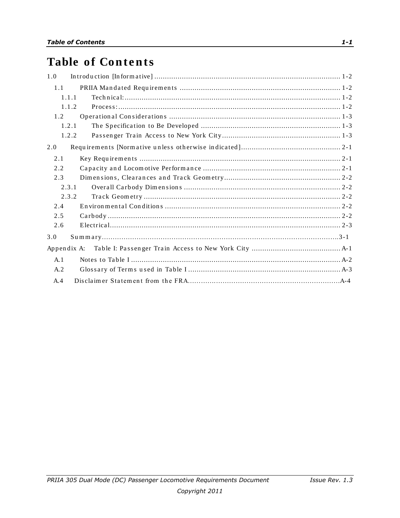# **Table of Contents**

| 1.0         |
|-------------|
| 1.1         |
| 1.1.1       |
| 1.1.2       |
| 1.2         |
| 1.2.1       |
| 1.2.2       |
| 2.0         |
| 2.1         |
| 2.2         |
| 2.3         |
| 2.3.1       |
| 2.3.2       |
| 2.4         |
| 2.5         |
| 2.6         |
| 3.0         |
| Appendix A: |
| A.1         |
| A.2         |
| A.4         |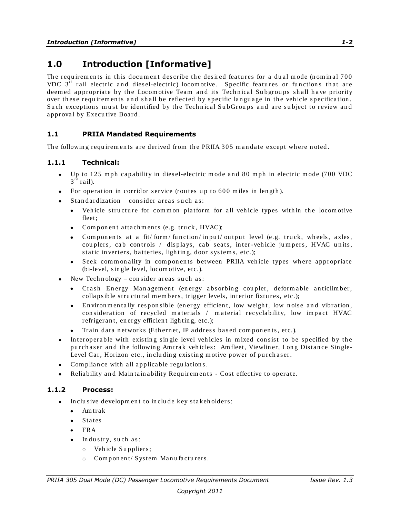## <span id="page-2-0"></span>**1.0 Introduction [Informative]**

The requirements in this document describe the desired features for a dual mode (nominal 700 VDC  $3<sup>rd</sup>$  rail electric and diesel-electric) locomotive. Specific features or functions that are deemed appropriate by the Locomotive Team and its Technical Subgroups shall have priority over these requirements and shall be reflected by specific language in the vehicle specification. Such exceptions must be identified by the Technical SubGroups and are subject to review and approval by Executive Board.

#### <span id="page-2-1"></span>**1.1 PRIIA Mandated Requirements**

The following requirements are derived from the PRIIA 305 mandate except where noted.

#### <span id="page-2-2"></span>**1.1.1 Technical:**

- Up to 125 mph capability in diesel-electric mode and 80 mph in electric mode  $(700 \text{ VDC}$  $3^{\overline{\mathrm{rd}}}$  rail).
- For operation in corridor service (routes up to  $600$  miles in length).
- Standardization consider areas such as:
	- Vehicle structure for common platform for all vehicle types within the locomotive  $\bullet$ fleet;
	- Component attachments (e.g. truck, HVAC);
	- Components at a fit/form/function/input/output level (e.g. truck, wheels, axles, couplers, cab controls / displays, cab seats, inter-vehicle jumpers, HVAC units, static in verters, batteries, lighting, door systems, etc.);
	- Seek commonality in components between PRIIA vehicle types where appropriate  $\bullet$ (bi-level, s in gle level, locom otive, etc.).
- New Technology consider areas such as:
	- Crash Energy Management (energy absorbing coupler, deformable anticlimber, colla psible structural members, trigger levels, interior fixtures, etc.);
	- En viron mentally responsible (energy efficient, low weight, low noise and vibration,  $\bullet$ consideration of recycled materials / material recyclability, low impact HVAC refrigerant, energy efficient lighting, etc.);
	- Train data networks (Ethernet, IP address based components, etc.).
- Interoperable with existing single level vehicles in mixed consist to be specified by the purch a ser and the following Am trak vehicles: Am fleet, Viewliner, Long Distance Single-Level Car, Horizon etc., including existing motive power of purchaser.
- Compliance with all applicable regulations.
- Reliability and Maintainability Requirements Cost effective to operate.

#### <span id="page-2-3"></span>**1.1.2 Process:**

- $\bullet$  In clusive development to include key stakeholders:
	- $\bullet$ Am tra k
	- **States**
	- FRA  $\bullet$
	- In dustry, such as:  $\bullet$ 
		- o Vehicle Suppliers;
		- o Component/ System Manufacturers.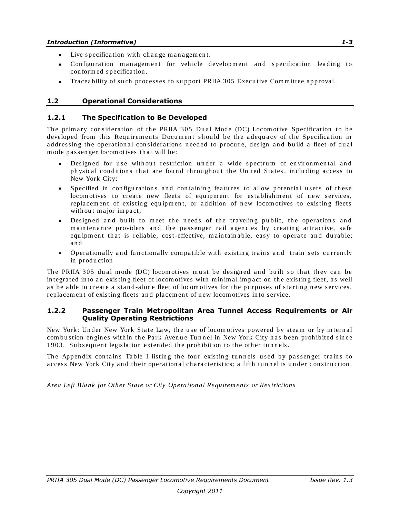- Live specification with change management.
- Configuration management for vehicle development and specification leading to con form ed s pecifica tion .
- Traceability of such processes to support PRIIA 305 Executive Committee approval.  $\bullet$

#### <span id="page-3-0"></span>**1.2 Operational Considerations**

#### <span id="page-3-1"></span>**1.2.1 The Specification to Be Developed**

The primary consideration of the PRIIA 305 Dual Mode (DC) Locomotive Specification to be developed from this Requirements Document should be the adequacy of the Specification in addressing the operational considerations needed to procure, design and build a fleet of dual mode passenger locomotives that will be:

- Designed for use without restriction under a wide spectrum of environmental and physical conditions that are found throughout the United States, including access to New York City;
- Specified in configurations and containing features to allow potential users of these locom otives to create new fleets of equipment for establishment of new services, replacement of existing equipment, or addition of new locomotives to existing fleets with out major impact;
- Designed and built to meet the needs of the traveling public, the operations and maintenance providers and the passenger rail agencies by creating attractive, safe equipment that is reliable, cost-effective, maintainable, easy to operate and durable; a n d
- Operation ally and functionally compatible with existing trains and train sets currently in production

The PRIIA 305 dual mode (DC) locomotives must be designed and built so that they can be in tegrated into an existing fleet of locomotives with minimal impact on the existing fleet, as well as be able to create a stand-alone fleet of locomotives for the purposes of starting new services, replacement of existing fleets and placement of new locomotives into service.

#### <span id="page-3-2"></span>**1.2.2 Passenger Train Metropolitan Area Tunnel Access Requirements or Air Quality Operating Restrictions**

New York: Under New York State Law, the use of locomotives powered by steam or by internal com bustion engines within the Park Avenue Tunnel in New York City has been prohibited since 1903. Subsequent legislation extended the prohibition to the other tunnels.

The Appendix contains Table I listing the four existing tunnels used by passenger trains to access New York City and their operational characteristics; a fifth tunnel is under construction.

*Area Left Bla nk for Other S ta te or City Operation al Requirem en ts or Res trictions*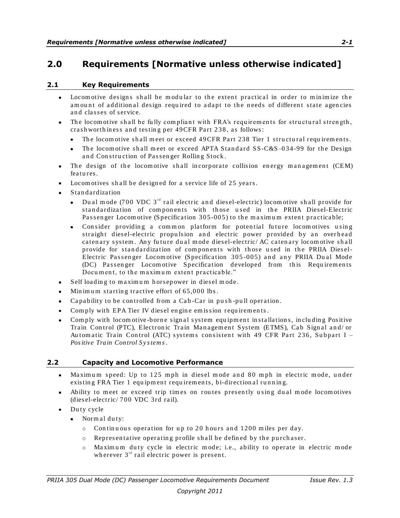### <span id="page-4-0"></span>**2.0 Requirements [Normative unless otherwise indicated]**

#### <span id="page-4-1"></span>**2.1 Key Requirements**

- Locom otive designs shall be modular to the extent practical in order to minimize the  $\bullet$ amount of additional design required to adapt to the needs of different state agencies and classes of service.
- The locom otive shall be fully compliant with FRA's requirements for structural strength, crash worthiness and testing per 49CFR Part 238, as follows:
	- The locomotive shall meet or exceed 49CFR Part 238 Tier 1 structural requirements.
	- The locomotive shall meet or exceed APTA Standard  $SS-C&S-034-99$  for the Design  $\bullet$ and Construction of Passenger Rolling Stock.
- The design of the locomotive shall incorporate collision energy management (CEM)  $\bullet$ features.
- Locom otives shall be designed for a service life of 25 years.
- **Standardization** 
	- Du al mode (700 VDC 3<sup>rd</sup> rail electric and diesel-electric) locomotive shall provide for standardization of components with those used in the PRIIA Diesel-Electric Passenger Locomotive (Specification 305-005) to the maximum extent practicable;
	- Consider providing a common platform for potential future locomotives using straight diesel-electric propulsion and electric power provided by an overhead caten ary system. Any future dual mode diesel-electric/ AC catenary locomotive shall provide for standardization of components with those used in the PRIIA Diesel-Electric Passenger Locomotive (Specification 305-005) and any PRIIA Dual Mode (DC) Passenger Locomotive Specification developed from this Requirements Document, to the maximum extent practicable."
- Self loading to maximum horsepower in diesel mode.  $\bullet$
- Min im um starting tractive effort of  $65,000$  lbs.
- Ca pability to be controlled from a Cab-Car in push-pull operation.
- Comply with EPA Tier IV diesel engine emission requirements.
- Comply with locom otive-borne signal system equipment installations, including Positive Train Control (PTC), Electronic Train Management System (ETMS), Cab Signal and/ or Automatic Train Control (ATC) systems consistent with 49 CFR Part 236, Subpart I – *Pos itive Train Control S y s tem s*.

#### <span id="page-4-2"></span>**2.2 Capacity and Locomotive Performance**

- Maximum speed: Up to 125 mph in diesel mode and 80 mph in electric mode, under existing FRA Tier 1 equipment requirements, bi-directional running.
- Ability to meet or exceed trip times on routes presently using dual mode locomotives (dies el-electric/ 700 VDC 3rd rail).
- Du ty cycle  $\bullet$ 
	- $\bullet$  Normal duty:
		- $\circ$  Continuous operation for up to 20 hours and 1200 miles per day.
		- $\circ$  Repres entative operating profile shall be defined by the purchaser.
		- $\circ$  Maximum duty cycle in electric mode; i.e., ability to operate in electric mode wherever  $3<sup>rd</sup>$  rail electric power is present.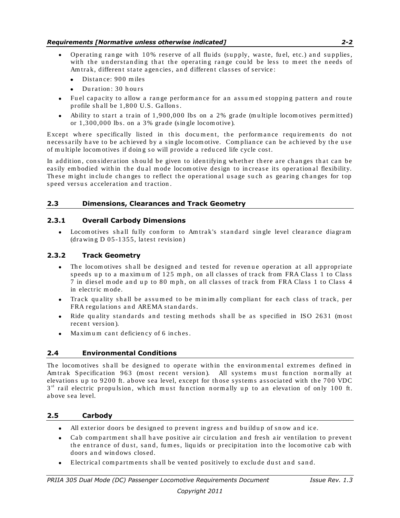#### *Requirements [Normative unless otherwise indicated] 2-2*

- Operating range with 10% reserve of all fluids (supply, waste, fuel, etc.) and supplies, with the understanding that the operating range could be less to meet the needs of Am trak, different state agencies, and different classes of service:
	- Distance: 900 miles  $\bullet$
	- Du ration  $\cdot$  30 h ours
- Fuel capacity to allow a range performance for an assumed stopping pattern and route profile shall be 1,800 U.S. Gallons.
- $\bullet$  Ability to start a train of 1,900,000 lbs on a 2% grade (multiple locomotives permitted) or  $1,300,000$  lbs. on a 3% grade (single locomotive).

Except where specifically listed in this document, the performance requirements do not necessarily have to be achieved by a single locomotive. Compliance can be achieved by the use of multiple locomotives if doing so will provide a reduced life cycle cost.

In addition, consideration should be given to identifying whether there are changes that can be easily embodied within the dual mode locomotive design to increase its operational flexibility. These might include changes to reflect the operational usage such as gearing changes for top speed versus acceleration and traction.

#### <span id="page-5-0"></span>**2.3 Dimensions, Clearances and Track Geometry**

#### <span id="page-5-1"></span>**2.3.1 Overall Carbody Dimensions**

Locom otives shall fully conform to Amtrak's standard single level clearance diagram  $\bullet$  $(\text{drawing } D \text{ 05-1355}, \text{ latest revision})$ 

#### <span id="page-5-2"></span>**2.3.2 Track Geometry**

- The locom otives shall be designed and tested for revenue operation at all appropriate  $\bullet$ speeds up to a maximum of 125 mph, on all classes of track from FRA Class 1 to Class 7 in diesel mode and up to 80 mph, on all classes of track from FRA Class 1 to Class 4 in electric m ode.
- Track quality shall be assumed to be minimally compliant for each class of track, per FRA regulations and AREMA standards.
- Ride quality standards and testing methods shall be as specified in ISO 2631 (most  $\bullet$ recent version).
- $\bullet$ Maximum cant deficiency of 6 inches.

#### <span id="page-5-3"></span>**2.4 Environmental Conditions**

The locomotives shall be designed to operate within the environmental extremes defined in Am trak Specification 963 (most recent version). All systems must function normally at elevations up to 9200 ft. above sea level, except for those systems associated with the 700 VDC  $3^{rd}$  rail electric propulsion, which must function normally up to an elevation of only 100 ft. above sea level.

#### <span id="page-5-4"></span>**2.5 Carbody**

- All exterior doors be designed to prevent ingress and buildup of snow and ice.
- $\bullet$ Cab compartment shall have positive air circulation and fresh air ventilation to prevent the entrance of dust, sand, fumes, liquids or precipitation into the locomotive cab with doors and windows closed.
- Electrical compartments shall be vented positively to exclude dust and sand.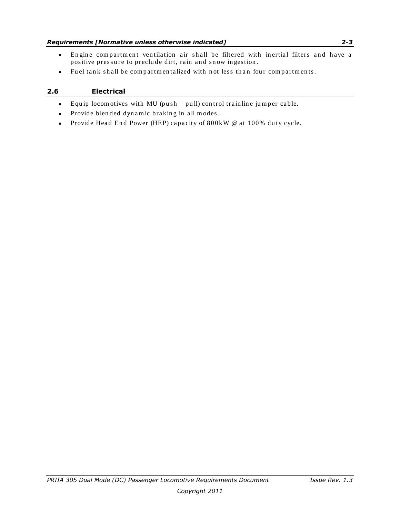#### *Requirements [Normative unless otherwise indicated] 2-3*

- Engine compartment ventilation air shall be filtered with inertial filters and have a  $\bullet$ positive pressure to preclude dirt, rain and snow ingestion.
- Fuel tank shall be compartmentalized with not less than four compartments.  $\bullet$

#### <span id="page-6-0"></span>**2.6 Electrical**

- $\bullet$ Equip locom otives with MU (push  $-$  pull) control trainline jumper cable.
- Provide blended dynamic braking in all modes.  $\bullet$
- Provide Head End Power (HEP) capacity of 800kW @ at 100% duty cycle.  $\bullet$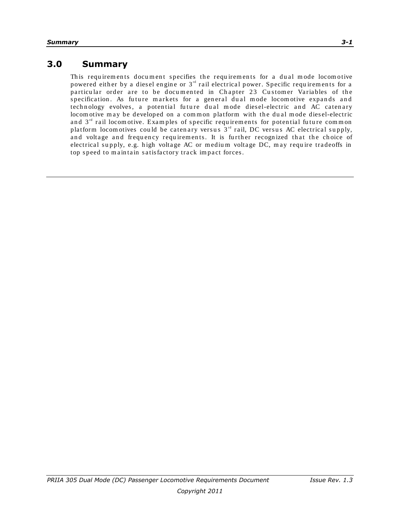### **3.0 Summary**

This requirements document specifies the requirements for a dual mode locomotive powered either by a diesel engine or 3<sup>rd</sup> rail electrical power. Specific requirements for a particular order are to be documented in Chapter 23 Customer Variables of the specification. As future markets for a general dual mode locomotive expands and technology evolves, a potential future dual mode diesel-electric and AC catenary locom otive may be developed on a common platform with the dual mode diesel-electric and  $3<sup>rd</sup>$  rail locomotive. Examples of specific requirements for potential future common platform locom otives could be catenary versus  $3<sup>rd</sup>$  rail, DC versus AC electrical supply, and voltage and frequency requirements. It is further recognized that the choice of electrical supply, e.g. high voltage AC or medium voltage DC, may require tradeoffs in top speed to maintain satisfactory track impact forces.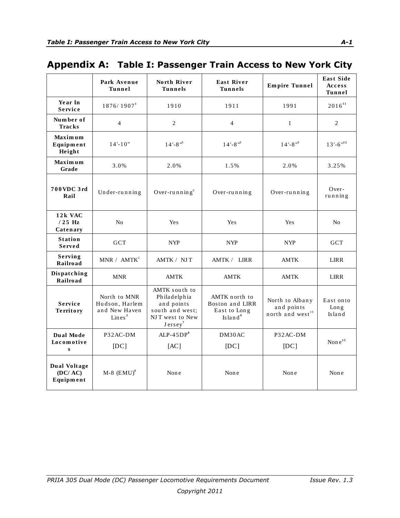## <span id="page-8-0"></span>Appendix A: Table I: Passenger Train Access to New York City

|                                             | Park Avenue<br><b>Tunnel</b>                                          | North River<br><b>Tunnels</b>                                                                            | <b>East River</b><br><b>Tunnels</b>                                     | <b>Empire Tunnel</b>                                   | <b>East Side</b><br>Access<br>Tunnel   |
|---------------------------------------------|-----------------------------------------------------------------------|----------------------------------------------------------------------------------------------------------|-------------------------------------------------------------------------|--------------------------------------------------------|----------------------------------------|
| Year In<br><b>Service</b>                   | 1876/1907 <sup>1</sup>                                                | 1910                                                                                                     | 1911                                                                    | 1991                                                   | $2016^{11}$                            |
| Number of<br><b>Tracks</b>                  | $\overline{4}$                                                        | $\overline{2}$                                                                                           | $\overline{4}$                                                          | $\mathbf{1}$                                           | $\overline{2}$                         |
| <b>Maximum</b><br>Equipment<br>Height       | $14 - 10"$                                                            | $14 - 8$ <sup>115</sup>                                                                                  | $14 - 8$ " <sup>5</sup>                                                 | $14 - 8$ " <sup>5</sup>                                | $13$ '-6 $^{\rm n12}$                  |
| Maximum<br>Grade                            | 3.0%                                                                  | 2.0%                                                                                                     | 1.5%                                                                    | 2.0%                                                   | 3.25%                                  |
| 700VDC 3rd<br>Rail                          | Under-running                                                         | Over-running $6$                                                                                         | Over-running                                                            | Over-running                                           | $Over-$<br>running                     |
| 12k VAC<br>$/25$ Hz<br>Catenary             | N <sub>o</sub>                                                        | Yes                                                                                                      | Yes                                                                     | Yes                                                    | No                                     |
| <b>Station</b><br>Served                    | <b>GCT</b>                                                            | <b>NYP</b>                                                                                               | <b>NYP</b>                                                              | <b>NYP</b>                                             | <b>GCT</b>                             |
| Serving<br>Railroad                         | MNR / AMTK <sup>2</sup>                                               | AMTK / NJT                                                                                               | AMTK / LIRR                                                             | <b>AMTK</b>                                            | <b>LIRR</b>                            |
| Dispatching<br>Railroad                     | <b>MNR</b>                                                            | <b>AMTK</b>                                                                                              | <b>AMTK</b>                                                             | <b>AMTK</b>                                            | <b>LIRR</b>                            |
| Service<br><b>Territory</b>                 | North to MNR<br>Hudson, Harlem<br>and New Haven<br>Lines <sup>3</sup> | AMTK south to<br>Philadelphia<br>and points<br>south and west;<br>NJT west to New<br>Jersey <sup>7</sup> | AMTK north to<br>Boston and LIRR<br>East to Long<br>Island <sup>9</sup> | North to Albany<br>and points<br>north and $west^{10}$ | East onto<br>$\text{Lon } g$<br>Island |
| Dual Mode<br>Locomotive<br>$\mathbf{s}$     | P32AC-DM                                                              | $ALP-45DP8$                                                                                              | DM30AC                                                                  | P32AC-DM                                               | None <sup>13</sup>                     |
|                                             | [DC]                                                                  | [AC]                                                                                                     | DC                                                                      | [DC]                                                   |                                        |
| <b>Dual Voltage</b><br>(DC/AC)<br>Equipment | $M-8$ (EMU) <sup>4</sup>                                              | None                                                                                                     | None                                                                    | None                                                   | None                                   |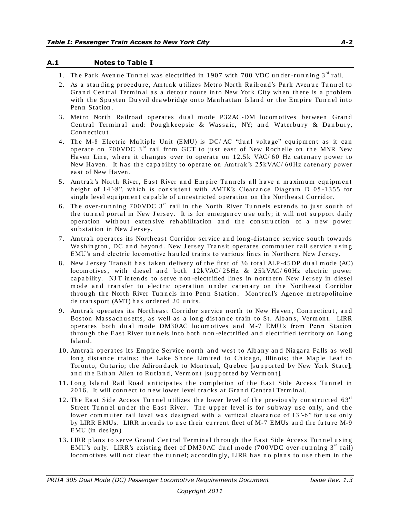#### <span id="page-9-0"></span>**A.1 Notes to Table I**

- 1. The Park Avenue Tunnel was electrified in 1907 with 700 VDC under-running  $3<sup>rd</sup>$  rail.
- 2. As a standing procedure, Am trak utilizes Metro North Railroad's Park Avenue Tunnel to Grand Central Terminal as a detour route into New York City when there is a problem with the Spuyten Duyvil drawbridge onto Manhattan Island or the Empire Tunnel into Penn Station.
- 3. Metro North Railroad operates dual mode P32AC-DM locomotives between Grand Central Terminal and: Poughkeepsie & Wassaic, NY; and Waterbury & Danbury, Con n ecticut.
- 4. The M-8 Electric Multiple Unit (EMU) is DC/AC "dual voltage" equipment as it can operate on 700 VDC  $3^{rd}$  rail from GCT to just east of New Rochelle on the MNR New Haven Line, where it changes over to operate on  $12.5k$  VAC/60 Hz catenary power to New Haven. It has the capability to operate on Amtrak's 25 kVAC/ 60Hz catenary power east of New Haven.
- 5. Am trak's North River, East River and Empire Tunnels all have a maximum equipment height of 14'-8", which is consistent with AMTK's Clearance Diagram D 05-1355 for single level equipment capable of unrestricted operation on the Northeast Corridor.
- 6. The over-running 700 VDC  $3^{rd}$  rail in the North River Tunnels extends to just south of the tunnel portal in New Jersey. It is for emergency use only; it will not support daily operation with out extensive rehabilitation and the construction of a new power substation in New Jersey.
- 7. Am trak operates its Northeast Corridor service and long-distance service south towards Washington, DC and beyond. New Jersey Transit operates commuter rail service using EMU's and electric locomotive hauled trains to various lines in Northern New Jersey.
- 8. New Jersey Transit has taken delivery of the first of 36 total ALP-45DP dual mode (AC) locom otives, with diesel and both  $12kVAC/25Hz \& 25kVAC/60Hz$  electric power capability. NJT intends to serve non-electrified lines in northern New Jersey in diesel mode and transfer to electric operation under catenary on the Northeast Corridor through the North River Tunnels into Penn Station. Montreal's Agence metropolitaine de transport (AMT) has ordered 20 units.
- 9. Am trak operates its Northeast Corridor service north to New Haven, Connecticut, and Boston Massachusetts, as well as a long distance train to St. Albans, Vermont. LIRR operates both dual mode DM30AC locomotives and M-7 EMU's from Penn Station through the East River tunnels into both non-electrified and electrified territory on Long Is la n d.
- 10. Am trak operates its Empire Service north and west to Albany and Niagara Falls as well long distance trains: the Lake Shore Limited to Chicago, Illinois; the Maple Leaf to Toronto, Ontario; the Adirondack to Montreal, Quebec [supported by New York State]; and the Ethan Allen to Rutland, Vermont [supported by Vermont].
- 11. Long Island Rail Road anticipates the completion of the East Side Access Tunnel in 2016. It will connect to new lower level tracks at Grand Central Terminal.
- 12. The East Side Access Tunnel utilizes the lower level of the previously constructed  $63<sup>rd</sup>$ Street Tunnel under the East River. The upper level is for subway use only, and the lower commuter rail level was designed with a vertical clearance of 13'-6" for use only by LIRR EMUs. LIRR intends to use their current fleet of M-7 EMUs and the future M-9 EMU (in des ign ).
- 13. LIRR plans to serve Grand Central Terminal through the East Side Access Tunnel using EMU's only. LIRR's existing fleet of DM30AC dual mode (700VDC over-running  $3<sup>rd</sup>$  rail) locom otives will not clear the tunnel; accordingly, LIRR has no plans to use them in the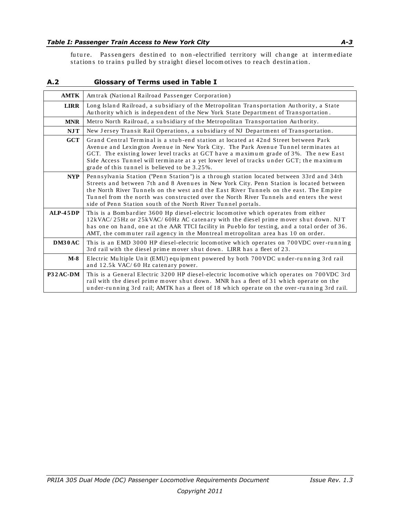future. Passengers destined to non-electrified territory will change at intermediate stations to trains pulled by straight diesel locomotives to reach destination.

#### <span id="page-10-0"></span>**A.2 Glossary of Terms used in Table I**

| <b>AMTK</b> | Amtrak (National Railroad Passenger Corporation)                                                                                                                                                                                                                                                                                                                                                                                         |
|-------------|------------------------------------------------------------------------------------------------------------------------------------------------------------------------------------------------------------------------------------------------------------------------------------------------------------------------------------------------------------------------------------------------------------------------------------------|
| <b>LIRR</b> | Long Island Railroad, a subsidiary of the Metropolitan Transportation Authority, a State<br>Authority which is independent of the New York State Department of Transportation.                                                                                                                                                                                                                                                           |
| <b>MNR</b>  | Metro North Railroad, a subsidiary of the Metropolitan Transportation Authority.                                                                                                                                                                                                                                                                                                                                                         |
| <b>NJT</b>  | New Jersey Transit Rail Operations, a subsidiary of NJ Department of Transportation.                                                                                                                                                                                                                                                                                                                                                     |
| $GCT$       | Grand Central Terminal is a stub-end station at located at 42nd Street between Park<br>Avenue and Lexington Avenue in New York City. The Park Avenue Tunnel terminates at<br>GCT. The existing lower level tracks at GCT have a maximum grade of 3%. The new East<br>Side Access Tunnel will terminate at a yet lower level of tracks under GCT; the maximum<br>grade of this tunnel is believed to be 3.25%.                            |
| <b>NYP</b>  | Pennsylvania Station ("Penn Station") is a through station located between 33rd and 34th<br>Streets and between 7th and 8 Avenues in New York City. Penn Station is located between<br>the North River Tunnels on the west and the East River Tunnels on the east. The Empire<br>Tunnel from the north was constructed over the North River Tunnels and enters the west<br>side of Penn Station south of the North River Tunnel portals. |
| $ALP-45DP$  | This is a Bombardier 3600 Hp diesel-electric locomotive which operates from either<br>12kVAC/25Hz or 25kVAC/60Hz AC catenary with the diesel prime mover shut down. NJT<br>has one on hand, one at the AAR TTCI facility in Pueblo for testing, and a total order of 36.<br>AMT, the commuter rail agency in the Montreal metropolitan area has 10 on order.                                                                             |
| DM30AC      | This is an EMD 3000 HP diesel-electric locomotive which operates on 700VDC over-running<br>3rd rail with the diesel prime mover shut down. LIRR has a fleet of 23.                                                                                                                                                                                                                                                                       |
| M-8         | Electric Multiple Unit (EMU) equipment powered by both 700VDC under-running 3rd rail<br>and 12.5k VAC/60 Hz catenary power.                                                                                                                                                                                                                                                                                                              |
| P32AC-DM    | This is a General Electric 3200 HP diesel-electric locomotive which operates on 700VDC 3rd<br>rail with the diesel prime mover shut down. MNR has a fleet of 31 which operate on the<br>under-running 3rd rail; AMTK has a fleet of 18 which operate on the over-running 3rd rail.                                                                                                                                                       |